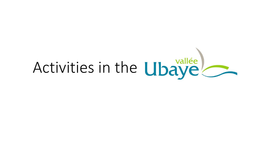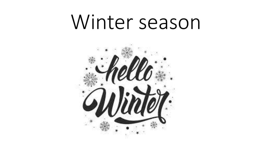# Winter season

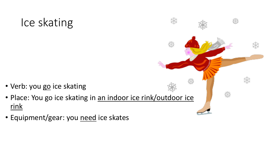#### Ice skating

- Verb: you go ice skating
- Place: You go ice skating in an indoor ice rink/outdoor ice rink
- Equipment/gear: you need ice skates

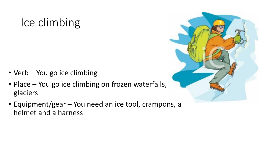## Ice climbing

- Verb You go ice climbing
- Place You go ice climbing on frozen waterfalls, glaciers
- Equipment/gear You need an ice tool, crampons, a helmet and a harness

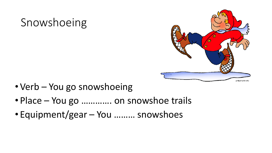## Snowshoeing



- Verb You go snowshoeing
- Place You go ............ on snowshoe trails
- Equipment/gear You ……… snowshoes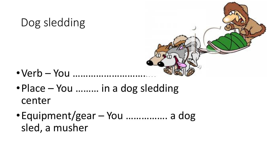

- •Place You ……… in a dog sledding center
- •Equipment/gear You ……………. a dog sled, a musher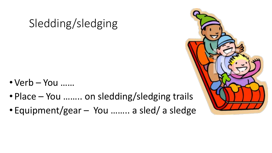### Sledding/sledging

- Verb You ……
- Place You …….. on sledding/sledging trails
- Equipment/gear You …….. a sled/ a sledge

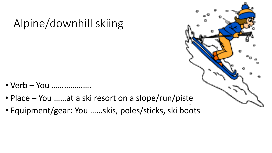# Alpine/downhill skiing

- Verb You ……………….
- Place You ……at a ski resort on a slope/run/piste
- Equipment/gear: You ……skis, poles/sticks, ski boots

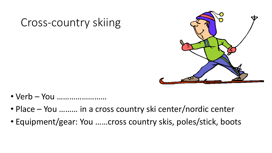

#### Cross-country skiing

- Verb You ……………………
- Place You ……… in a cross country ski center/nordic center
- Equipment/gear: You ……cross country skis, poles/stick, boots